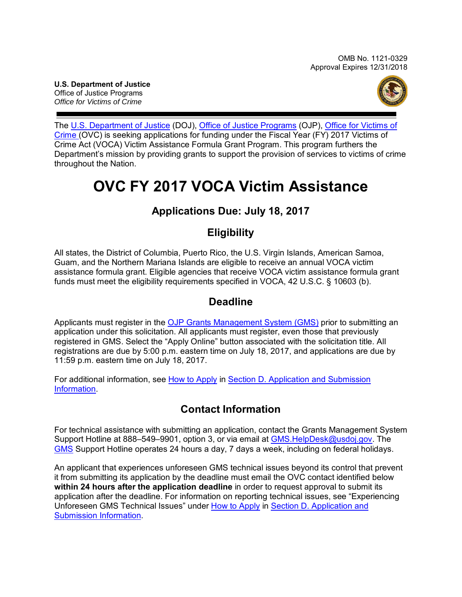OMB No. 1121-0329 Approval Expires 12/31/2018

**U.S. Department of Justice** Office of Justice Programs *Office for Victims of Crime*



The [U.S. Department of Justice](http://www.usdoj.gov/) (DOJ), Office [of Justice Programs](http://www.ojp.usdoj.gov/) (OJP), [Office for Victims of](http://www.ovc.gov/)  [Crime](http://www.ovc.gov/) (OVC) is seeking applications for funding under the Fiscal Year (FY) 2017 Victims of Crime Act (VOCA) Victim Assistance Formula Grant Program. This program furthers the Department's mission by providing grants to support the provision of services to victims of crime throughout the Nation.

# **OVC FY 2017 VOCA Victim Assistance**

# **Applications Due: July 18, 2017**

## **Eligibility**

All states, the District of Columbia, Puerto Rico, the U.S. Virgin Islands, American Samoa, Guam, and the Northern Mariana Islands are eligible to receive an annual VOCA victim assistance formula grant. Eligible agencies that receive VOCA victim assistance formula grant funds must meet the eligibility requirements specified in VOCA, 42 U.S.C. § 10603 (b).

## **Deadline**

Applicants must register in the OJP [Grants Management System](https://grants.ojp.usdoj.gov/) (GMS) prior to submitting an application under this solicitation. All applicants must register, even those that previously registered in GMS. Select the "Apply Online" button associated with the solicitation title. All registrations are due by 5:00 p.m. eastern time on July 18, 2017, and applications are due by 11:59 p.m. eastern time on July 18, 2017.

For additional information, see [How to Apply](#page-15-0) in Section [D. Application and Submission](#page-7-0)  [Information.](#page-7-0)

# **Contact Information**

For technical assistance with submitting an application, contact the Grants Management System Support Hotline at 888–549–9901, option 3, or via email at [GMS.HelpDesk@usdoj.gov.](mailto:GMS.HelpDesk@usdoj.gov) The [GMS](https://grants.ojp.usdoj.gov/) Support Hotline operates 24 hours a day, 7 days a week, including on federal holidays.

An applicant that experiences unforeseen GMS technical issues beyond its control that prevent it from submitting its application by the deadline must email the OVC contact identified below **within 24 hours after the application deadline** in order to request approval to submit its application after the deadline. For information on reporting technical issues, see "Experiencing Unforeseen GMS Technical Issues" under [How to Apply](#page-15-0) in [Section D. Application and](#page-7-0)  [Submission Information.](#page-7-0)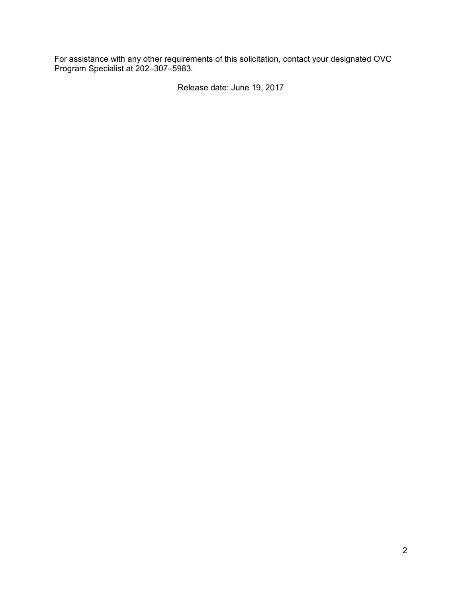For assistance with any other requirements of this solicitation, contact your designated OVC Program Specialist at 202–307–5983*.* 

Release date: June 19, 2017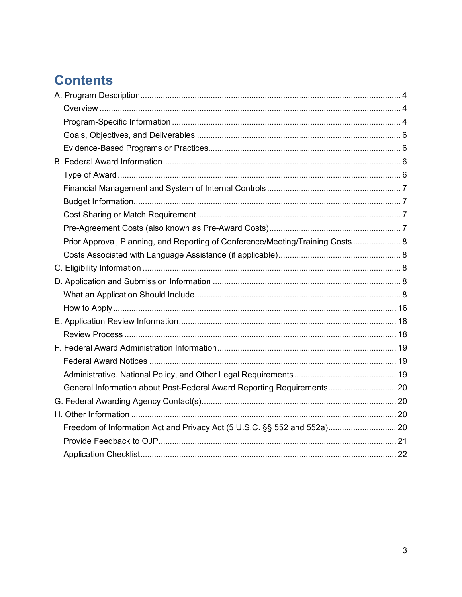# **Contents**

| Prior Approval, Planning, and Reporting of Conference/Meeting/Training Costs 8 |  |
|--------------------------------------------------------------------------------|--|
|                                                                                |  |
|                                                                                |  |
|                                                                                |  |
|                                                                                |  |
|                                                                                |  |
|                                                                                |  |
|                                                                                |  |
|                                                                                |  |
|                                                                                |  |
|                                                                                |  |
| General Information about Post-Federal Award Reporting Requirements 20         |  |
|                                                                                |  |
|                                                                                |  |
|                                                                                |  |
|                                                                                |  |
|                                                                                |  |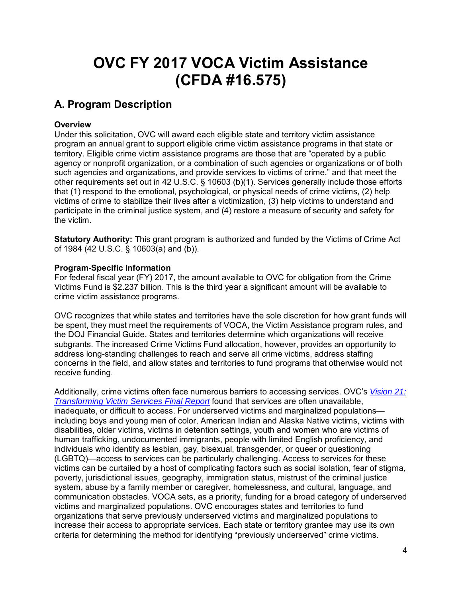# **OVC FY 2017 VOCA Victim Assistance (CFDA #16.575)**

# <span id="page-3-0"></span>**A. Program Description**

#### <span id="page-3-1"></span>**Overview**

Under this solicitation, OVC will award each eligible state and territory victim assistance program an annual grant to support eligible crime victim assistance programs in that state or territory. Eligible crime victim assistance programs are those that are "operated by a public agency or nonprofit organization, or a combination of such agencies or organizations or of both such agencies and organizations, and provide services to victims of crime," and that meet the other requirements set out in 42 U.S.C. § 10603 (b)(1). Services generally include those efforts that (1) respond to the emotional, psychological, or physical needs of crime victims, (2) help victims of crime to stabilize their lives after a victimization, (3) help victims to understand and participate in the criminal justice system, and (4) restore a measure of security and safety for the victim.

**Statutory Authority:** This grant program is authorized and funded by the Victims of Crime Act of 1984 (42 U.S.C. § 10603(a) and (b)).

#### <span id="page-3-2"></span>**Program-Specific Information**

For federal fiscal year (FY) 2017, the amount available to OVC for obligation from the Crime Victims Fund is \$2.237 billion. This is the third year a significant amount will be available to crime victim assistance programs.

OVC recognizes that while states and territories have the sole discretion for how grant funds will be spent, they must meet the requirements of VOCA, the Victim Assistance program rules, and the DOJ Financial Guide. States and territories determine which organizations will receive subgrants. The increased Crime Victims Fund allocation, however, provides an opportunity to address long-standing challenges to reach and serve all crime victims, address staffing concerns in the field, and allow states and territories to fund programs that otherwise would not receive funding.

Additionally, crime victims often face numerous barriers to accessing services. OVC's *[Vision 21:](https://ovc.ncjrs.gov/vision21/pdfs/Vision21_Report.pdf)  [Transforming Victim Services Final Report](https://ovc.ncjrs.gov/vision21/pdfs/Vision21_Report.pdf)* found that services are often unavailable, inadequate, or difficult to access. For underserved victims and marginalized populations including boys and young men of color, American Indian and Alaska Native victims, victims with disabilities, older victims, victims in detention settings, youth and women who are victims of human trafficking, undocumented immigrants, people with limited English proficiency, and individuals who identify as lesbian, gay, bisexual, transgender, or queer or questioning (LGBTQ)—access to services can be particularly challenging. Access to services for these victims can be curtailed by a host of complicating factors such as social isolation, fear of stigma, poverty, jurisdictional issues, geography, immigration status, mistrust of the criminal justice system, abuse by a family member or caregiver, homelessness, and cultural, language, and communication obstacles. VOCA sets, as a priority, funding for a broad category of underserved victims and marginalized populations. OVC encourages states and territories to fund organizations that serve previously underserved victims and marginalized populations to increase their access to appropriate services*.* Each state or territory grantee may use its own criteria for determining the method for identifying "previously underserved" crime victims.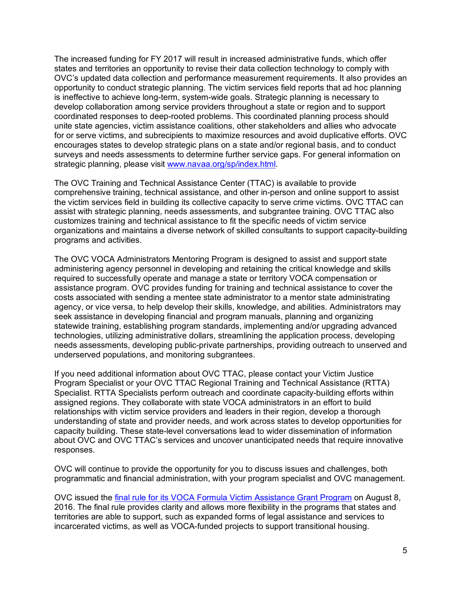The increased funding for FY 2017 will result in increased administrative funds, which offer states and territories an opportunity to revise their data collection technology to comply with OVC's updated data collection and performance measurement requirements. It also provides an opportunity to conduct strategic planning. The victim services field reports that ad hoc planning is ineffective to achieve long-term, system-wide goals. Strategic planning is necessary to develop collaboration among service providers throughout a state or region and to support coordinated responses to deep-rooted problems. This coordinated planning process should unite state agencies, victim assistance coalitions, other stakeholders and allies who advocate for or serve victims, and subrecipients to maximize resources and avoid duplicative efforts. OVC encourages states to develop strategic plans on a state and/or regional basis, and to conduct surveys and needs assessments to determine further service gaps. For general information on strategic planning, please visit [www.navaa.org/sp/index.html.](http://www.navaa.org/sp/index.html)

The OVC Training and Technical Assistance Center (TTAC) is available to provide comprehensive training, technical assistance, and other in-person and online support to assist the victim services field in building its collective capacity to serve crime victims. OVC TTAC can assist with strategic planning, needs assessments, and subgrantee training. OVC TTAC also customizes training and technical assistance to fit the specific needs of victim service organizations and maintains a diverse network of skilled consultants to support capacity-building programs and activities.

The OVC VOCA Administrators Mentoring Program is designed to assist and support state administering agency personnel in developing and retaining the critical knowledge and skills required to successfully operate and manage a state or territory VOCA compensation or assistance program. OVC provides funding for training and technical assistance to cover the costs associated with sending a mentee state administrator to a mentor state administrating agency, or vice versa, to help develop their skills, knowledge, and abilities. Administrators may seek assistance in developing financial and program manuals, planning and organizing statewide training, establishing program standards, implementing and/or upgrading advanced technologies, utilizing administrative dollars, streamlining the application process, developing needs assessments, developing public-private partnerships, providing outreach to unserved and underserved populations, and monitoring subgrantees.

If you need additional information about OVC TTAC, please contact your Victim Justice Program Specialist or your OVC TTAC Regional Training and Technical Assistance (RTTA) Specialist. RTTA Specialists perform outreach and coordinate capacity-building efforts within assigned regions. They collaborate with state VOCA administrators in an effort to build relationships with victim service providers and leaders in their region, develop a thorough understanding of state and provider needs, and work across states to develop opportunities for capacity building. These state-level conversations lead to wider dissemination of information about OVC and OVC TTAC's services and uncover unanticipated needs that require innovative responses.

OVC will continue to provide the opportunity for you to discuss issues and challenges, both programmatic and financial administration, with your program specialist and OVC management.

OVC issued the [final rule for its VOCA Formula Victim Assistance Grant Program](https://www.federalregister.gov/articles/2016/07/08/2016-16085/victims-of-crime-act-victim-assistance-program) on August 8, 2016. The final rule provides clarity and allows more flexibility in the programs that states and territories are able to support, such as expanded forms of legal assistance and services to incarcerated victims, as well as VOCA-funded projects to support transitional housing.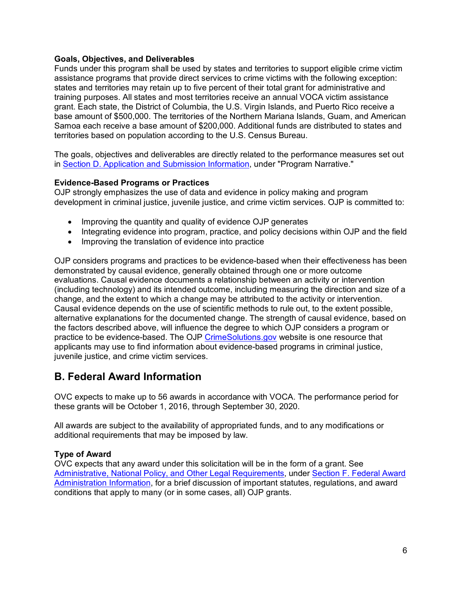#### <span id="page-5-0"></span>**Goals, Objectives, and Deliverables**

Funds under this program shall be used by states and territories to support eligible crime victim assistance programs that provide direct services to crime victims with the following exception: states and territories may retain up to five percent of their total grant for administrative and training purposes. All states and most territories receive an annual VOCA victim assistance grant. Each state, the District of Columbia, the U.S. Virgin Islands, and Puerto Rico receive a base amount of \$500,000. The territories of the Northern Mariana Islands, Guam, and American Samoa each receive a base amount of \$200,000. Additional funds are distributed to states and territories based on population according to the U.S. Census Bureau.

The goals, objectives and deliverables are directly related to the performance measures set out in [Section D. Application and Submission Information,](#page-7-0) under "Program Narrative."

#### <span id="page-5-1"></span>**Evidence-Based Programs or Practices**

OJP strongly emphasizes the use of data and evidence in policy making and program development in criminal justice, juvenile justice, and crime victim services. OJP is committed to:

- Improving the quantity and quality of evidence OJP generates
- Integrating evidence into program, practice, and policy decisions within OJP and the field
- Improving the translation of evidence into practice

OJP considers programs and practices to be evidence-based when their effectiveness has been demonstrated by causal evidence, generally obtained through one or more outcome evaluations. Causal evidence documents a relationship between an activity or intervention (including technology) and its intended outcome, including measuring the direction and size of a change, and the extent to which a change may be attributed to the activity or intervention. Causal evidence depends on the use of scientific methods to rule out, to the extent possible, alternative explanations for the documented change. The strength of causal evidence, based on the factors described above, will influence the degree to which OJP considers a program or practice to be evidence-based. The OJP [CrimeSolutions.gov](http://www.crimesolutions.gov/) website is one resource that applicants may use to find information about evidence-based programs in criminal justice, juvenile justice, and crime victim services.

## <span id="page-5-2"></span>**B. Federal Award Information**

OVC expects to make up to 56 awards in accordance with VOCA. The performance period for these grants will be October 1, 2016, through September 30, 2020.

All awards are subject to the availability of appropriated funds, and to any modifications or additional requirements that may be imposed by law.

#### <span id="page-5-3"></span>**Type of Award**

<span id="page-5-4"></span>OVC expects that any award under this solicitation will be in the form of a grant. See [Administrative, National Policy, and Other Legal Requirements,](#page-18-2) under [Section F. Federal Award](#page-18-0)  [Administration Information,](#page-18-0) for a brief discussion of important statutes, regulations, and award conditions that apply to many (or in some cases, all) OJP grants.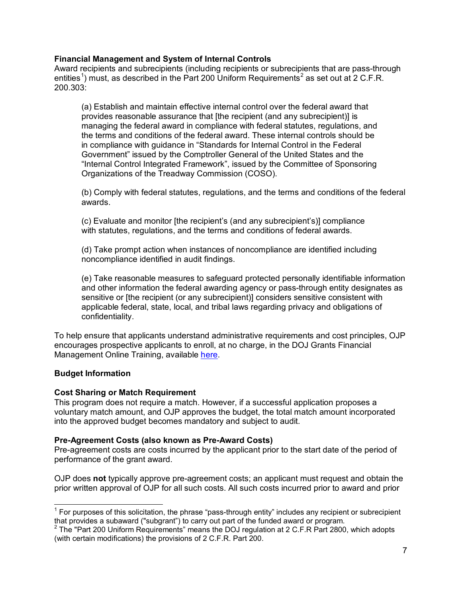#### **Financial Management and System of Internal Controls**

Award recipients and subrecipients (including recipients or subrecipients that are pass-through entities<sup>[1](#page-6-3)</sup>) must, as described in the Part [2](#page-6-4)00 Uniform Requirements<sup>2</sup> as set out at 2 C.F.R. 200.303:

(a) Establish and maintain effective internal control over the federal award that provides reasonable assurance that [the recipient (and any subrecipient)] is managing the federal award in compliance with federal statutes, regulations, and the terms and conditions of the federal award. These internal controls should be in compliance with guidance in "Standards for Internal Control in the Federal Government" issued by the Comptroller General of the United States and the "Internal Control Integrated Framework", issued by the Committee of Sponsoring Organizations of the Treadway Commission (COSO).

(b) Comply with federal statutes, regulations, and the terms and conditions of the federal awards.

(c) Evaluate and monitor [the recipient's (and any subrecipient's)] compliance with statutes, regulations, and the terms and conditions of federal awards.

(d) Take prompt action when instances of noncompliance are identified including noncompliance identified in audit findings.

(e) Take reasonable measures to safeguard protected personally identifiable information and other information the federal awarding agency or pass-through entity designates as sensitive or [the recipient (or any subrecipient)] considers sensitive consistent with applicable federal, state, local, and tribal laws regarding privacy and obligations of confidentiality.

To help ensure that applicants understand administrative requirements and cost principles, OJP encourages prospective applicants to enroll, at no charge, in the DOJ Grants Financial Management Online Training, available [here.](http://ojpfgm.webfirst.com/)

#### <span id="page-6-0"></span>**Budget Information**

#### <span id="page-6-1"></span>**Cost Sharing or Match Requirement**

This program does not require a match. However, if a successful application proposes a voluntary match amount, and OJP approves the budget, the total match amount incorporated into the approved budget becomes mandatory and subject to audit.

#### <span id="page-6-2"></span>**Pre-Agreement Costs (also known as Pre-Award Costs)**

Pre-agreement costs are costs incurred by the applicant prior to the start date of the period of performance of the grant award.

OJP does **not** typically approve pre-agreement costs; an applicant must request and obtain the prior written approval of OJP for all such costs. All such costs incurred prior to award and prior

<span id="page-6-3"></span> $\overline{\phantom{a}}$  $<sup>1</sup>$  For purposes of this solicitation, the phrase "pass-through entity" includes any recipient or subrecipient</sup> that provides a subaward ("subgrant") to carry out part of the funded award or program.

<span id="page-6-4"></span><sup>2</sup> The "Part 200 Uniform Requirements" means the DOJ regulation at 2 C.F.R Part 2800, which adopts (with certain modifications) the provisions of 2 C.F.R. Part 200.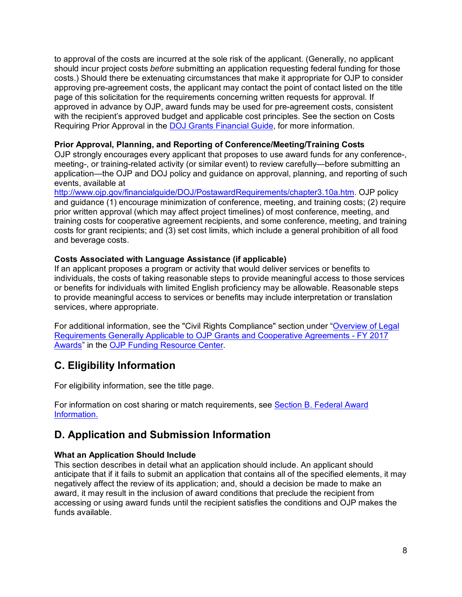to approval of the costs are incurred at the sole risk of the applicant. (Generally, no applicant should incur project costs *before* submitting an application requesting federal funding for those costs.) Should there be extenuating circumstances that make it appropriate for OJP to consider approving pre-agreement costs, the applicant may contact the point of contact listed on the title page of this solicitation for the requirements concerning written requests for approval. If approved in advance by OJP, award funds may be used for pre-agreement costs, consistent with the recipient's approved budget and applicable cost principles. See the section on Costs Requiring Prior Approval in the [DOJ Grants Financial Guide,](http://ojp.gov/financialguide/DOJ/index.htm) for more information.

#### <span id="page-7-1"></span>**Prior Approval, Planning, and Reporting of Conference/Meeting/Training Costs**

OJP strongly encourages every applicant that proposes to use award funds for any conference-, meeting-, or training-related activity (or similar event) to review carefully—before submitting an application—the OJP and DOJ policy and guidance on approval, planning, and reporting of such events, available at

[http://www.ojp.gov/financialguide/DOJ/PostawardRequirements/chapter3.10a.htm.](http://www.ojp.gov/financialguide/DOJ/PostawardRequirements/chapter3.10a.htm) OJP policy and guidance (1) encourage minimization of conference, meeting, and training costs; (2) require prior written approval (which may affect project timelines) of most conference, meeting, and training costs for cooperative agreement recipients, and some conference, meeting, and training costs for grant recipients; and (3) set cost limits, which include a general prohibition of all food and beverage costs.

#### <span id="page-7-2"></span>**Costs Associated with Language Assistance (if applicable)**

If an applicant proposes a program or activity that would deliver services or benefits to individuals, the costs of taking reasonable steps to provide meaningful access to those services or benefits for individuals with limited English proficiency may be allowable. Reasonable steps to provide meaningful access to services or benefits may include interpretation or translation services, where appropriate.

For additional information, see the "Civil Rights Compliance" section under ["Overview of Legal](http://ojp.gov/funding/Explore/SolicitationRequirements/index.htm)  [Requirements Generally Applicable to OJP Grants and Cooperative Agreements - FY 2017](http://ojp.gov/funding/Explore/SolicitationRequirements/index.htm)  [Awards"](http://ojp.gov/funding/Explore/SolicitationRequirements/index.htm) in the [OJP Funding Resource Center.](http://ojp.gov/funding/index.htm)

## <span id="page-7-3"></span>**C. Eligibility Information**

For eligibility information, see the title page.

For information on cost sharing or match requirements, see Section [B. Federal](#page-5-2) Award [Information.](#page-5-2)

## <span id="page-7-0"></span>**D. Application and Submission Information**

#### <span id="page-7-4"></span>**What an Application Should Include**

This section describes in detail what an application should include. An applicant should anticipate that if it fails to submit an application that contains all of the specified elements, it may negatively affect the review of its application; and, should a decision be made to make an award, it may result in the inclusion of award conditions that preclude the recipient from accessing or using award funds until the recipient satisfies the conditions and OJP makes the funds available.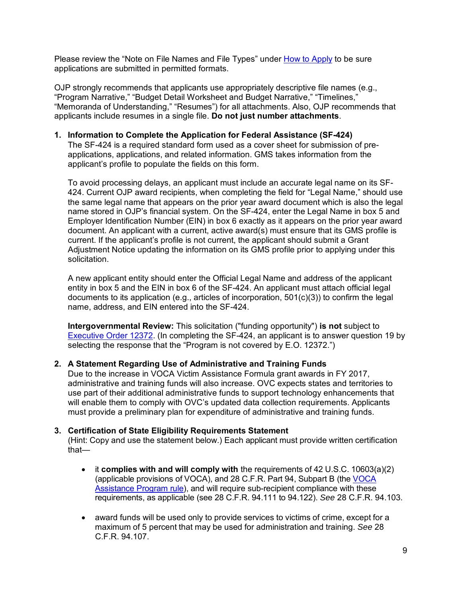Please review the "Note on File Names and File Types" under [How to Apply](#page-15-0) to be sure applications are submitted in permitted formats.

OJP strongly recommends that applicants use appropriately descriptive file names (e.g., "Program Narrative," "Budget Detail Worksheet and Budget Narrative," "Timelines," "Memoranda of Understanding," "Resumes") for all attachments. Also, OJP recommends that applicants include resumes in a single file. **Do not just number attachments**.

**1. Information to Complete the Application for Federal Assistance (SF-424)**

The SF-424 is a required standard form used as a cover sheet for submission of preapplications, applications, and related information. GMS takes information from the applicant's profile to populate the fields on this form.

To avoid processing delays, an applicant must include an accurate legal name on its SF-424. Current OJP award recipients, when completing the field for "Legal Name," should use the same legal name that appears on the prior year award document which is also the legal name stored in OJP's financial system. On the SF-424, enter the Legal Name in box 5 and Employer Identification Number (EIN) in box 6 exactly as it appears on the prior year award document. An applicant with a current, active award(s) must ensure that its GMS profile is current. If the applicant's profile is not current, the applicant should submit a Grant Adjustment Notice updating the information on its GMS profile prior to applying under this solicitation.

A new applicant entity should enter the Official Legal Name and address of the applicant entity in box 5 and the EIN in box 6 of the SF-424. An applicant must attach official legal documents to its application (e.g., articles of incorporation,  $501(c)(3)$ ) to confirm the legal name, address, and EIN entered into the SF-424.

**Intergovernmental Review:** This solicitation ("funding opportunity") **is not** subject to [Executive Order 12372.](http://www.archives.gov/federal-register/codification/executive-order/12372.html) (In completing the SF-424, an applicant is to answer question 19 by selecting the response that the "Program is not covered by E.O. 12372.")

#### **2. A Statement Regarding Use of Administrative and Training Funds**

Due to the increase in VOCA Victim Assistance Formula grant awards in FY 2017, administrative and training funds will also increase. OVC expects states and territories to use part of their additional administrative funds to support technology enhancements that will enable them to comply with OVC's updated data collection requirements. Applicants must provide a preliminary plan for expenditure of administrative and training funds.

#### **3. Certification of State Eligibility Requirements Statement**

(Hint: Copy and use the statement below.) Each applicant must provide written certification that—

- it **complies with and will comply with** the requirements of 42 U.S.C. 10603(a)(2) (applicable provisions of VOCA), and 28 C.F.R. Part 94, Subpart B (the [VOCA](https://www.federalregister.gov/documents/2016/07/08/2016-16085/victims-of-crime-act-victim-assistance-program)  [Assistance Program rule\)](https://www.federalregister.gov/documents/2016/07/08/2016-16085/victims-of-crime-act-victim-assistance-program), and will require sub-recipient compliance with these requirements, as applicable (see 28 C.F.R. 94.111 to 94.122). *See* 28 C.F.R. 94.103.
- award funds will be used only to provide services to victims of crime, except for a maximum of 5 percent that may be used for administration and training. *See* 28 C.F.R. 94.107.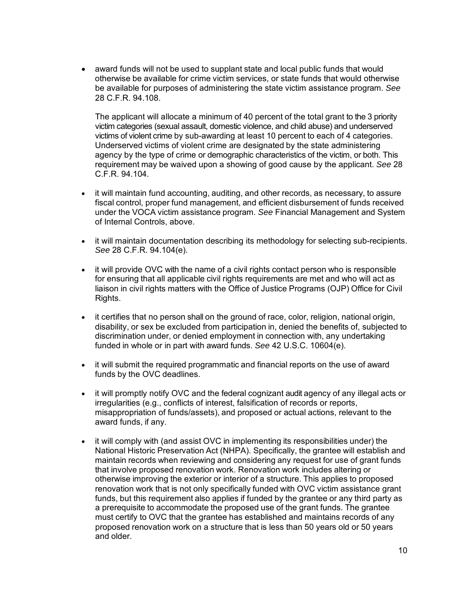• award funds will not be used to supplant state and local public funds that would otherwise be available for crime victim services, or state funds that would otherwise be available for purposes of administering the state victim assistance program. *See*  28 C.F.R. 94.108.

The applicant will allocate a minimum of 40 percent of the total grant to the 3 priority victim categories (sexual assault, domestic violence, and child abuse) and underserved victims of violent crime by sub-awarding at least 10 percent to each of 4 categories. Underserved victims of violent crime are designated by the state administering agency by the type of crime or demographic characteristics of the victim, or both. This requirement may be waived upon a showing of good cause by the applicant. *See* 28 C.F.R. 94.104.

- it will maintain fund accounting, auditing, and other records, as necessary, to assure fiscal control, proper fund management, and efficient disbursement of funds received under the VOCA victim assistance program. *See* Financial Management and System of Internal Controls, above.
- it will maintain documentation describing its methodology for selecting sub-recipients. *See* 28 C.F.R. 94.104(e).
- it will provide OVC with the name of a civil rights contact person who is responsible for ensuring that all applicable civil rights requirements are met and who will act as liaison in civil rights matters with the Office of Justice Programs (OJP) Office for Civil Rights.
- it certifies that no person shall on the ground of race, color, religion, national origin, disability, or sex be excluded from participation in, denied the benefits of, subjected to discrimination under, or denied employment in connection with, any undertaking funded in whole or in part with award funds. *See* 42 U.S.C. 10604(e).
- it will submit the required programmatic and financial reports on the use of award funds by the OVC deadlines.
- it will promptly notify OVC and the federal cognizant audit agency of any illegal acts or irregularities (e.g., conflicts of interest, falsification of records or reports, misappropriation of funds/assets), and proposed or actual actions, relevant to the award funds, if any.
- it will comply with (and assist OVC in implementing its responsibilities under) the National Historic Preservation Act (NHPA). Specifically, the grantee will establish and maintain records when reviewing and considering any request for use of grant funds that involve proposed renovation work. Renovation work includes altering or otherwise improving the exterior or interior of a structure. This applies to proposed renovation work that is not only specifically funded with OVC victim assistance grant funds, but this requirement also applies if funded by the grantee or any third party as a prerequisite to accommodate the proposed use of the grant funds. The grantee must certify to OVC that the grantee has established and maintains records of any proposed renovation work on a structure that is less than 50 years old or 50 years and older.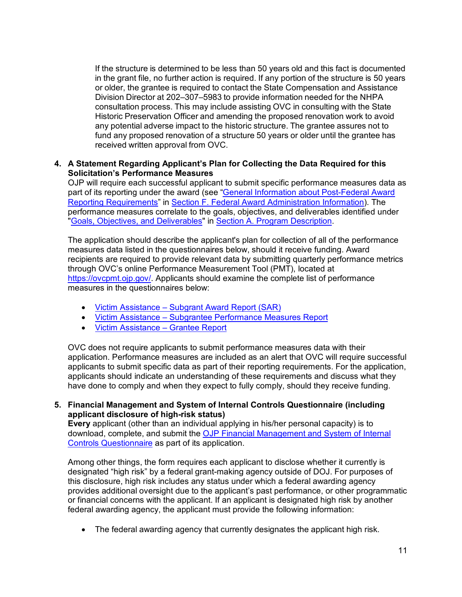If the structure is determined to be less than 50 years old and this fact is documented in the grant file, no further action is required. If any portion of the structure is 50 years or older, the grantee is required to contact the State Compensation and Assistance Division Director at 202–307–5983 to provide information needed for the NHPA consultation process. This may include assisting OVC in consulting with the State Historic Preservation Officer and amending the proposed renovation work to avoid any potential adverse impact to the historic structure. The grantee assures not to fund any proposed renovation of a structure 50 years or older until the grantee has received written approval from OVC.

#### **4. A Statement Regarding Applicant's Plan for Collecting the Data Required for this Solicitation's Performance Measures**

OJP will require each successful applicant to submit specific performance measures data as part of its reporting under the award (see ["General Information about Post-Federal](#page-19-0) Award [Reporting Requirements"](#page-19-0) in Section F. Federal [Award Administration Information\)](#page-18-0). The performance measures correlate to the goals, objectives, and deliverables identified under ["Goals, Objectives, and Deliverables"](#page-5-0) in [Section A. Program Description.](#page-3-0)

The application should describe the applicant's plan for collection of all of the performance measures data listed in the questionnaires below, should it receive funding. Award recipients are required to provide relevant data by submitting quarterly performance metrics through OVC's online Performance Measurement Tool (PMT), located at [https://ovcpmt.ojp.gov/.](https://ovcpmt.ojp.gov/) Applicants should examine the complete list of performance measures in the questionnaires below:

- [Victim Assistance Subgrant Award Report \(SAR\)](http://ovcpmt.ojp.gov/documents/Victim_Assistance_SAR_508.pdf)
- [Victim Assistance Subgrantee Performance Measures Report](https://ovcpmt.ojp.gov/documents/Victim%20Assistance_SUBGRANTEE%20Data%20Report_508.pdf)
- [Victim Assistance Grantee Report](https://ovcpmt.ojp.gov/documents/Victim%20Assistance_GRANTEE%20Report_508.pdf)

OVC does not require applicants to submit performance measures data with their application. Performance measures are included as an alert that OVC will require successful applicants to submit specific data as part of their reporting requirements. For the application, applicants should indicate an understanding of these requirements and discuss what they have done to comply and when they expect to fully comply, should they receive funding.

**5. Financial Management and System of Internal Controls Questionnaire (including applicant disclosure of high-risk status)**

**Every** applicant (other than an individual applying in his/her personal capacity) is to download, complete, and submit the [OJP Financial Management](http://ojp.gov/funding/Apply/Resources/FinancialCapability.pdf) and System of Internal [Controls Questionnaire](http://ojp.gov/funding/Apply/Resources/FinancialCapability.pdf) as part of its application.

Among other things, the form requires each applicant to disclose whether it currently is designated "high risk" by a federal grant-making agency outside of DOJ. For purposes of this disclosure, high risk includes any status under which a federal awarding agency provides additional oversight due to the applicant's past performance, or other programmatic or financial concerns with the applicant. If an applicant is designated high risk by another federal awarding agency, the applicant must provide the following information:

• The federal awarding agency that currently designates the applicant high risk.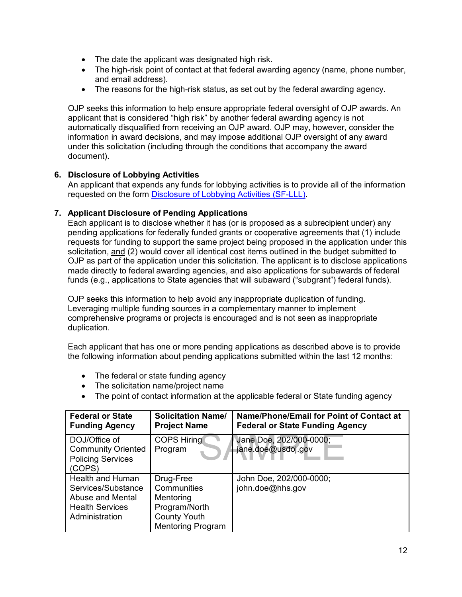- The date the applicant was designated high risk.
- The high-risk point of contact at that federal awarding agency (name, phone number, and email address).
- The reasons for the high-risk status, as set out by the federal awarding agency.

OJP seeks this information to help ensure appropriate federal oversight of OJP awards. An applicant that is considered "high risk" by another federal awarding agency is not automatically disqualified from receiving an OJP award. OJP may, however, consider the information in award decisions, and may impose additional OJP oversight of any award under this solicitation (including through the conditions that accompany the award document).

#### **6. Disclosure of Lobbying Activities**

An applicant that expends any funds for lobbying activities is to provide all of the information requested on the form [Disclosure of Lobbying Activities \(SF-LLL\).](http://ojp.gov/funding/Apply/Resources/Disclosure.pdf)

#### **7. Applicant Disclosure of Pending Applications**

Each applicant is to disclose whether it has (or is proposed as a subrecipient under) any pending applications for federally funded grants or cooperative agreements that (1) include requests for funding to support the same project being proposed in the application under this solicitation, and (2) would cover all identical cost items outlined in the budget submitted to OJP as part of the application under this solicitation. The applicant is to disclose applications made directly to federal awarding agencies, and also applications for subawards of federal funds (e.g., applications to State agencies that will subaward ("subgrant") federal funds).

OJP seeks this information to help avoid any inappropriate duplication of funding. Leveraging multiple funding sources in a complementary manner to implement comprehensive programs or projects is encouraged and is not seen as inappropriate duplication.

Each applicant that has one or more pending applications as described above is to provide the following information about pending applications submitted within the last 12 months:

- The federal or state funding agency
- The solicitation name/project name
- The point of contact information at the applicable federal or State funding agency

| <b>Federal or State</b><br><b>Funding Agency</b>                                                       | <b>Solicitation Name/</b><br><b>Project Name</b>                                                          | Name/Phone/Email for Point of Contact at<br><b>Federal or State Funding Agency</b> |
|--------------------------------------------------------------------------------------------------------|-----------------------------------------------------------------------------------------------------------|------------------------------------------------------------------------------------|
| DOJ/Office of<br><b>Community Oriented</b><br><b>Policing Services</b><br>(COPS)                       | <b>COPS Hiring</b><br>Program                                                                             | Jane Doe, 202/000-0000;<br>jane.doe@usdoj.gov                                      |
| Health and Human<br>Services/Substance<br>Abuse and Mental<br><b>Health Services</b><br>Administration | Drug-Free<br>Communities<br>Mentoring<br>Program/North<br><b>County Youth</b><br><b>Mentoring Program</b> | John Doe, 202/000-0000;<br>john.doe@hhs.gov                                        |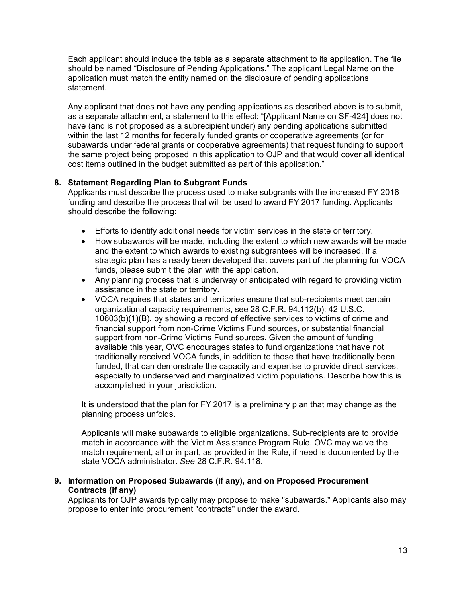Each applicant should include the table as a separate attachment to its application. The file should be named "Disclosure of Pending Applications." The applicant Legal Name on the application must match the entity named on the disclosure of pending applications statement.

Any applicant that does not have any pending applications as described above is to submit, as a separate attachment, a statement to this effect: "[Applicant Name on SF-424] does not have (and is not proposed as a subrecipient under) any pending applications submitted within the last 12 months for federally funded grants or cooperative agreements (or for subawards under federal grants or cooperative agreements) that request funding to support the same project being proposed in this application to OJP and that would cover all identical cost items outlined in the budget submitted as part of this application."

#### **8. Statement Regarding Plan to Subgrant Funds**

Applicants must describe the process used to make subgrants with the increased FY 2016 funding and describe the process that will be used to award FY 2017 funding. Applicants should describe the following:

- Efforts to identify additional needs for victim services in the state or territory.
- How subawards will be made, including the extent to which new awards will be made and the extent to which awards to existing subgrantees will be increased. If a strategic plan has already been developed that covers part of the planning for VOCA funds, please submit the plan with the application.
- Any planning process that is underway or anticipated with regard to providing victim assistance in the state or territory.
- VOCA requires that states and territories ensure that sub-recipients meet certain organizational capacity requirements, see 28 C.F.R. 94.112(b); 42 U.S.C. 10603(b)(1)(B), by showing a record of effective services to victims of crime and financial support from non-Crime Victims Fund sources, or substantial financial support from non-Crime Victims Fund sources. Given the amount of funding available this year, OVC encourages states to fund organizations that have not traditionally received VOCA funds, in addition to those that have traditionally been funded, that can demonstrate the capacity and expertise to provide direct services, especially to underserved and marginalized victim populations. Describe how this is accomplished in your jurisdiction.

It is understood that the plan for FY 2017 is a preliminary plan that may change as the planning process unfolds.

Applicants will make subawards to eligible organizations. Sub-recipients are to provide match in accordance with the Victim Assistance Program Rule. OVC may waive the match requirement, all or in part, as provided in the Rule, if need is documented by the state VOCA administrator. *See* 28 C.F.R. 94.118.

#### **9. Information on Proposed Subawards (if any), and on Proposed Procurement Contracts (if any)**

Applicants for OJP awards typically may propose to make "subawards." Applicants also may propose to enter into procurement "contracts" under the award.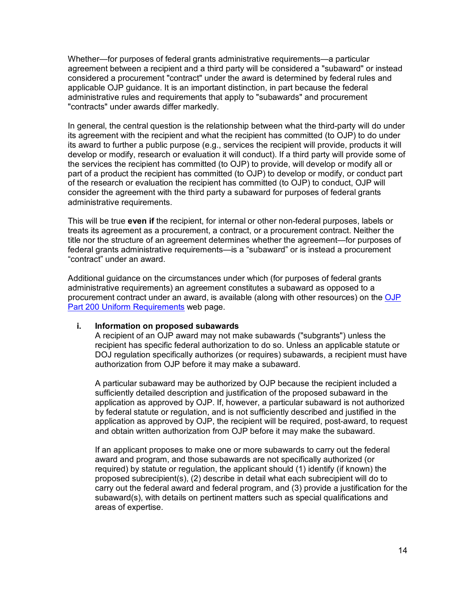Whether—for purposes of federal grants administrative requirements—a particular agreement between a recipient and a third party will be considered a "subaward" or instead considered a procurement "contract" under the award is determined by federal rules and applicable OJP guidance. It is an important distinction, in part because the federal administrative rules and requirements that apply to "subawards" and procurement "contracts" under awards differ markedly.

In general, the central question is the relationship between what the third-party will do under its agreement with the recipient and what the recipient has committed (to OJP) to do under its award to further a public purpose (e.g., services the recipient will provide, products it will develop or modify, research or evaluation it will conduct). If a third party will provide some of the services the recipient has committed (to OJP) to provide, will develop or modify all or part of a product the recipient has committed (to OJP) to develop or modify, or conduct part of the research or evaluation the recipient has committed (to OJP) to conduct, OJP will consider the agreement with the third party a subaward for purposes of federal grants administrative requirements.

This will be true **even if** the recipient, for internal or other non-federal purposes, labels or treats its agreement as a procurement, a contract, or a procurement contract. Neither the title nor the structure of an agreement determines whether the agreement—for purposes of federal grants administrative requirements—is a "subaward" or is instead a procurement "contract" under an award.

Additional guidance on the circumstances under which (for purposes of federal grants administrative requirements) an agreement constitutes a subaward as opposed to a procurement contract under an award, is available (along with other resources) on the [OJP](http://ojp.gov/funding/Part200UniformRequirements.htm)  [Part 200 Uniform Requirements](http://ojp.gov/funding/Part200UniformRequirements.htm) web page.

#### **i. Information on proposed subawards**

A recipient of an OJP award may not make subawards ("subgrants") unless the recipient has specific federal authorization to do so. Unless an applicable statute or DOJ regulation specifically authorizes (or requires) subawards, a recipient must have authorization from OJP before it may make a subaward.

A particular subaward may be authorized by OJP because the recipient included a sufficiently detailed description and justification of the proposed subaward in the application as approved by OJP. If, however, a particular subaward is not authorized by federal statute or regulation, and is not sufficiently described and justified in the application as approved by OJP, the recipient will be required, post-award, to request and obtain written authorization from OJP before it may make the subaward.

If an applicant proposes to make one or more subawards to carry out the federal award and program, and those subawards are not specifically authorized (or required) by statute or regulation, the applicant should (1) identify (if known) the proposed subrecipient(s), (2) describe in detail what each subrecipient will do to carry out the federal award and federal program, and (3) provide a justification for the subaward(s), with details on pertinent matters such as special qualifications and areas of expertise.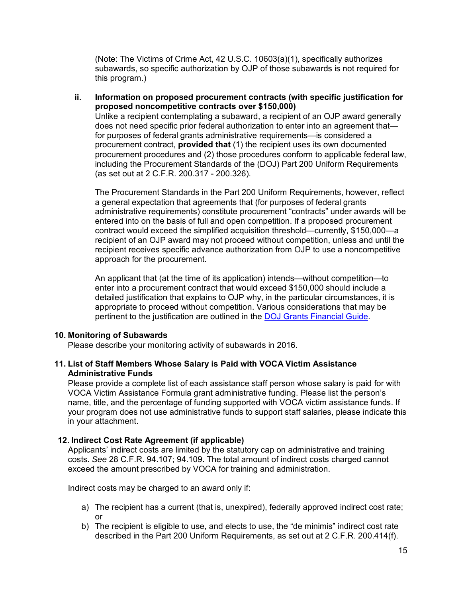(Note: The Victims of Crime Act, 42 U.S.C. 10603(a)(1), specifically authorizes subawards, so specific authorization by OJP of those subawards is not required for this program.)

#### **ii. Information on proposed procurement contracts (with specific justification for proposed noncompetitive contracts over \$150,000)**

Unlike a recipient contemplating a subaward, a recipient of an OJP award generally does not need specific prior federal authorization to enter into an agreement that for purposes of federal grants administrative requirements—is considered a procurement contract, **provided that** (1) the recipient uses its own documented procurement procedures and (2) those procedures conform to applicable federal law, including the Procurement Standards of the (DOJ) Part 200 Uniform Requirements (as set out at 2 C.F.R. 200.317 - 200.326).

The Procurement Standards in the Part 200 Uniform Requirements, however, reflect a general expectation that agreements that (for purposes of federal grants administrative requirements) constitute procurement "contracts" under awards will be entered into on the basis of full and open competition. If a proposed procurement contract would exceed the simplified acquisition threshold—currently, \$150,000—a recipient of an OJP award may not proceed without competition, unless and until the recipient receives specific advance authorization from OJP to use a noncompetitive approach for the procurement.

An applicant that (at the time of its application) intends—without competition—to enter into a procurement contract that would exceed \$150,000 should include a detailed justification that explains to OJP why, in the particular circumstances, it is appropriate to proceed without competition. Various considerations that may be pertinent to the justification are outlined in the [DOJ Grants Financial Guide.](http://ojp.gov/financialguide/DOJ/index.htm)

#### **10. Monitoring of Subawards**

Please describe your monitoring activity of subawards in 2016.

#### **11. List of Staff Members Whose Salary is Paid with VOCA Victim Assistance Administrative Funds**

Please provide a complete list of each assistance staff person whose salary is paid for with VOCA Victim Assistance Formula grant administrative funding. Please list the person's name, title, and the percentage of funding supported with VOCA victim assistance funds. If your program does not use administrative funds to support staff salaries, please indicate this in your attachment.

#### **12. Indirect Cost Rate Agreement (if applicable)**

Applicants' indirect costs are limited by the statutory cap on administrative and training costs. *See* 28 C.F.R. 94.107; 94.109. The total amount of indirect costs charged cannot exceed the amount prescribed by VOCA for training and administration.

Indirect costs may be charged to an award only if:

- a) The recipient has a current (that is, unexpired), federally approved indirect cost rate; or
- b) The recipient is eligible to use, and elects to use, the "de minimis" indirect cost rate described in the Part 200 Uniform Requirements, as set out at 2 C.F.R. 200.414(f).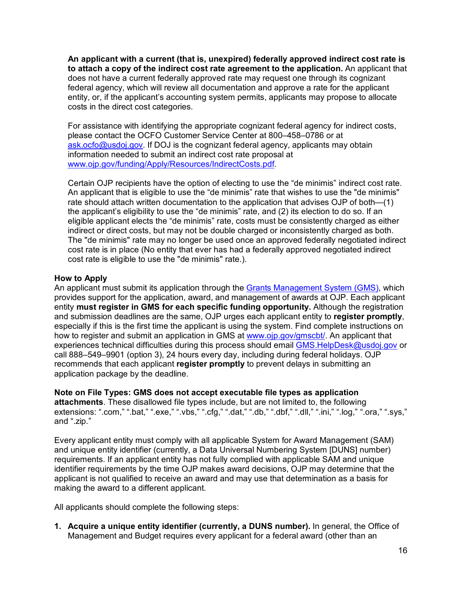**An applicant with a current (that is, unexpired) federally approved indirect cost rate is to attach a copy of the indirect cost rate agreement to the application.** An applicant that does not have a current federally approved rate may request one through its cognizant federal agency, which will review all documentation and approve a rate for the applicant entity, or, if the applicant's accounting system permits, applicants may propose to allocate costs in the direct cost categories.

For assistance with identifying the appropriate cognizant federal agency for indirect costs, please contact the OCFO Customer Service Center at 800–458–0786 or at [ask.ocfo@usdoj.gov.](mailto:ask.ocfo@usdoj.gov) If DOJ is the cognizant federal agency, applicants may obtain information needed to submit an indirect cost rate proposal at [www.ojp.gov/funding/Apply/Resources/IndirectCosts.pdf.](http://ojp.gov/funding/Apply/Resources/IndirectCosts.pdf)

Certain OJP recipients have the option of electing to use the "de minimis" indirect cost rate. An applicant that is eligible to use the "de minimis" rate that wishes to use the "de minimis" rate should attach written documentation to the application that advises OJP of both—(1) the applicant's eligibility to use the "de minimis" rate, and (2) its election to do so. If an eligible applicant elects the "de minimis" rate, costs must be consistently charged as either indirect or direct costs, but may not be double charged or inconsistently charged as both. The "de minimis" rate may no longer be used once an approved federally negotiated indirect cost rate is in place (No entity that ever has had a federally approved negotiated indirect cost rate is eligible to use the "de minimis" rate.).

#### <span id="page-15-0"></span>**How to Apply**

An applicant must submit its application through the [Grants Management System \(GMS\),](https://grants.ojp.usdoj.gov/gmsexternal/) which provides support for the application, award, and management of awards at OJP. Each applicant entity **must register in GMS for each specific funding opportunity.** Although the registration and submission deadlines are the same, OJP urges each applicant entity to **register promptly**, especially if this is the first time the applicant is using the system. Find complete instructions on how to register and submit an application in GMS at [www.ojp.gov/gmscbt/.](http://ojp.gov/gmscbt) An applicant that experiences technical difficulties during this process should email GMS. HelpDesk@usdoj.gov or call 888–549–9901 (option 3), 24 hours every day, including during federal holidays. OJP recommends that each applicant **register promptly** to prevent delays in submitting an application package by the deadline.

**Note on File Types: GMS does not accept executable file types as application attachments**. These disallowed file types include, but are not limited to, the following extensions: ".com," ".bat," ".exe," ".vbs," ".cfg," ".dat," ".db," ".dbf," ".dll," ".ini," ".log," ".ora," ".sys," and ".zip."

Every applicant entity must comply with all applicable System for Award Management (SAM) and unique entity identifier (currently, a Data Universal Numbering System [DUNS] number) requirements. If an applicant entity has not fully complied with applicable SAM and unique identifier requirements by the time OJP makes award decisions, OJP may determine that the applicant is not qualified to receive an award and may use that determination as a basis for making the award to a different applicant.

All applicants should complete the following steps:

**1. Acquire a unique entity identifier (currently, a DUNS number).** In general, the Office of Management and Budget requires every applicant for a federal award (other than an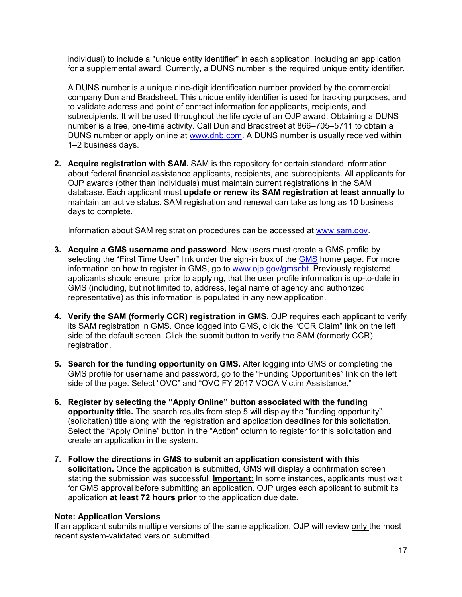individual) to include a "unique entity identifier" in each application, including an application for a supplemental award. Currently, a DUNS number is the required unique entity identifier.

A DUNS number is a unique nine-digit identification number provided by the commercial company Dun and Bradstreet. This unique entity identifier is used for tracking purposes, and to validate address and point of contact information for applicants, recipients, and subrecipients. It will be used throughout the life cycle of an OJP award. Obtaining a DUNS number is a free, one-time activity. Call Dun and Bradstreet at 866–705–5711 to obtain a DUNS number or apply online at [www.dnb.com.](http://www.dnb.com/) A DUNS number is usually received within 1–2 business days.

**2. Acquire registration with SAM.** SAM is the repository for certain standard information about federal financial assistance applicants, recipients, and subrecipients. All applicants for OJP awards (other than individuals) must maintain current registrations in the SAM database. Each applicant must **update or renew its SAM registration at least annually** to maintain an active status. SAM registration and renewal can take as long as 10 business days to complete.

Information about SAM registration procedures can be accessed at [www.sam.gov.](https://www.sam.gov/portal/SAM/#1)

- **3. Acquire a GMS username and password**. New users must create a GMS profile by selecting the "First Time User" link under the sign-in box of the [GMS](https://grants.ojp.usdoj.gov/gmsexternal/login.do) home page. For more information on how to register in GMS, go to [www.ojp.gov/gmscbt.](http://ojp.gov/gmscbt) Previously registered applicants should ensure, prior to applying, that the user profile information is up-to-date in GMS (including, but not limited to, address, legal name of agency and authorized representative) as this information is populated in any new application.
- **4. Verify the SAM (formerly CCR) registration in GMS.** OJP requires each applicant to verify its SAM registration in GMS. Once logged into GMS, click the "CCR Claim" link on the left side of the default screen. Click the submit button to verify the SAM (formerly CCR) registration.
- **5. Search for the funding opportunity on GMS.** After logging into GMS or completing the GMS profile for username and password, go to the "Funding Opportunities" link on the left side of the page. Select "OVC" and "OVC FY 2017 VOCA Victim Assistance."
- **6. Register by selecting the "Apply Online" button associated with the funding opportunity title.** The search results from step 5 will display the "funding opportunity" (solicitation) title along with the registration and application deadlines for this solicitation. Select the "Apply Online" button in the "Action" column to register for this solicitation and create an application in the system.
- **7. Follow the directions in GMS to submit an application consistent with this solicitation.** Once the application is submitted, GMS will display a confirmation screen stating the submission was successful. **Important:** In some instances, applicants must wait for GMS approval before submitting an application. OJP urges each applicant to submit its application **at least 72 hours prior** to the application due date.

#### **Note: Application Versions**

If an applicant submits multiple versions of the same application, OJP will review only the most recent system-validated version submitted.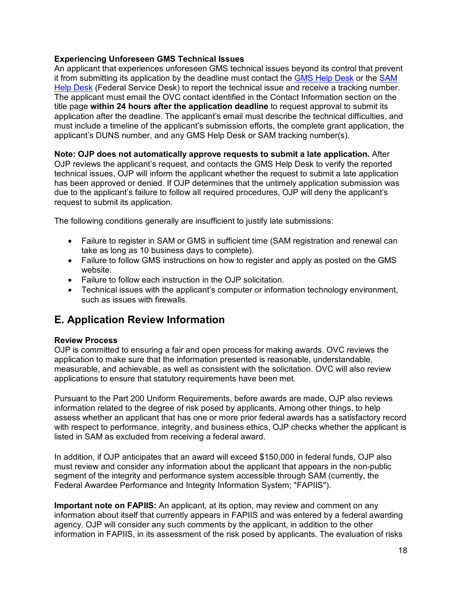#### **Experiencing Unforeseen GMS Technical Issues**

An applicant that experiences unforeseen GMS technical issues beyond its control that prevent it from submitting its application by the deadline must contact the [GMS Help Desk](mailto:GMS.HelpDesk@usdoj.gov) or the [SAM](https://www.fsd.gov/fsd-gov/home.do)  [Help Desk](https://www.fsd.gov/fsd-gov/home.do) (Federal Service Desk) to report the technical issue and receive a tracking number. The applicant must email the OVC contact identified in the Contact Information section on the title page **within 24 hours after the application deadline** to request approval to submit its application after the deadline. The applicant's email must describe the technical difficulties, and must include a timeline of the applicant's submission efforts, the complete grant application, the applicant's DUNS number, and any GMS Help Desk or SAM tracking number(s).

**Note: OJP does not automatically approve requests to submit a late application***.* After OJP reviews the applicant's request, and contacts the GMS Help Desk to verify the reported technical issues, OJP will inform the applicant whether the request to submit a late application has been approved or denied. If OJP determines that the untimely application submission was due to the applicant's failure to follow all required procedures, OJP will deny the applicant's request to submit its application.

The following conditions generally are insufficient to justify late submissions:

- Failure to register in SAM or GMS in sufficient time (SAM registration and renewal can take as long as 10 business days to complete).
- Failure to follow GMS instructions on how to register and apply as posted on the GMS website.
- Failure to follow each instruction in the OJP solicitation.
- Technical issues with the applicant's computer or information technology environment, such as issues with firewalls.

## <span id="page-17-0"></span>**E. Application Review Information**

#### <span id="page-17-1"></span>**Review Process**

OJP is committed to ensuring a fair and open process for making awards. OVC reviews the application to make sure that the information presented is reasonable, understandable, measurable, and achievable, as well as consistent with the solicitation. OVC will also review applications to ensure that statutory requirements have been met.

Pursuant to the Part 200 Uniform Requirements, before awards are made, OJP also reviews information related to the degree of risk posed by applicants. Among other things, to help assess whether an applicant that has one or more prior federal awards has a satisfactory record with respect to performance, integrity, and business ethics, OJP checks whether the applicant is listed in SAM as excluded from receiving a federal award.

In addition, if OJP anticipates that an award will exceed \$150,000 in federal funds, OJP also must review and consider any information about the applicant that appears in the non-public segment of the integrity and performance system accessible through SAM (currently, the Federal Awardee Performance and Integrity Information System; "FAPIIS").

**Important note on FAPIIS:** An applicant, at its option, may review and comment on any information about itself that currently appears in FAPIIS and was entered by a federal awarding agency. OJP will consider any such comments by the applicant, in addition to the other information in FAPIIS, in its assessment of the risk posed by applicants. The evaluation of risks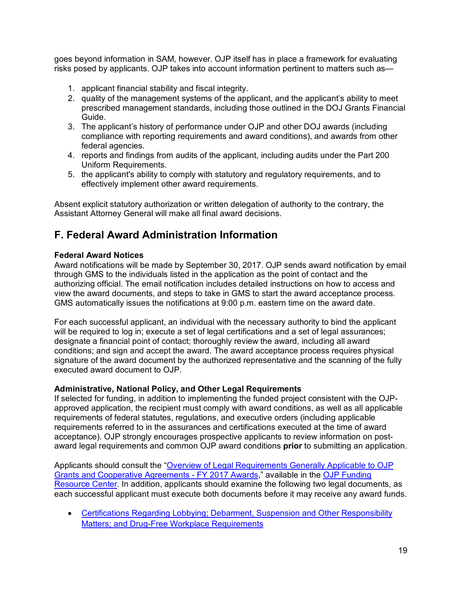goes beyond information in SAM, however. OJP itself has in place a framework for evaluating risks posed by applicants. OJP takes into account information pertinent to matters such as—

- 1. applicant financial stability and fiscal integrity.
- 2. quality of the management systems of the applicant, and the applicant's ability to meet prescribed management standards, including those outlined in the DOJ Grants Financial Guide.
- 3. The applicant's history of performance under OJP and other DOJ awards (including compliance with reporting requirements and award conditions), and awards from other federal agencies.
- 4. reports and findings from audits of the applicant, including audits under the Part 200 Uniform Requirements.
- 5. the applicant's ability to comply with statutory and regulatory requirements, and to effectively implement other award requirements.

Absent explicit statutory authorization or written delegation of authority to the contrary, the Assistant Attorney General will make all final award decisions.

## <span id="page-18-0"></span>**F. Federal Award Administration Information**

#### <span id="page-18-1"></span>**Federal Award Notices**

Award notifications will be made by September 30, 2017. OJP sends award notification by email through GMS to the individuals listed in the application as the point of contact and the authorizing official. The email notification includes detailed instructions on how to access and view the award documents, and steps to take in GMS to start the award acceptance process. GMS automatically issues the notifications at 9:00 p.m. eastern time on the award date.

For each successful applicant, an individual with the necessary authority to bind the applicant will be required to log in; execute a set of legal certifications and a set of legal assurances; designate a financial point of contact; thoroughly review the award, including all award conditions; and sign and accept the award. The award acceptance process requires physical signature of the award document by the authorized representative and the scanning of the fully executed award document to OJP.

#### <span id="page-18-2"></span>**Administrative, National Policy, and Other Legal Requirements**

If selected for funding, in addition to implementing the funded project consistent with the OJPapproved application, the recipient must comply with award conditions, as well as all applicable requirements of federal statutes, regulations, and executive orders (including applicable requirements referred to in the assurances and certifications executed at the time of award acceptance). OJP strongly encourages prospective applicants to review information on postaward legal requirements and common OJP award conditions **prior** to submitting an application.

Applicants should consult the ["Overview of Legal Requirements Generally Applicable to OJP](http://ojp.gov/funding/Explore/SolicitationRequirements/index.htm)  [Grants and Cooperative Agreements - FY 2017 Awards,](http://ojp.gov/funding/Explore/SolicitationRequirements/index.htm)" available in the [OJP Funding](http://ojp.gov/funding/index.htm)  [Resource Center.](http://ojp.gov/funding/index.htm) In addition, applicants should examine the following two legal documents, as each successful applicant must execute both documents before it may receive any award funds.

• [Certifications Regarding Lobbying; Debarment, Suspension and Other Responsibility](http://ojp.gov/funding/Apply/Resources/Certifications.pdf)  [Matters; and Drug-Free Workplace Requirements](http://ojp.gov/funding/Apply/Resources/Certifications.pdf)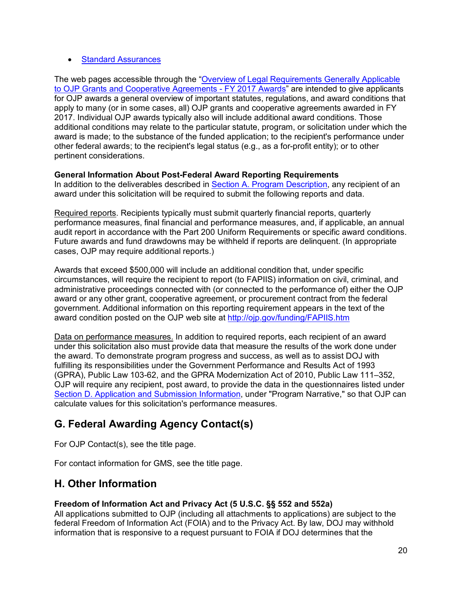#### • [Standard Assurances](http://ojp.gov/funding/Apply/Resources/StandardAssurances.pdf)

The web pages accessible through the ["Overview of Legal Requirements Generally Applicable](http://ojp.gov/funding/Explore/SolicitationRequirements/index.htm)  [to OJP Grants and Cooperative Agreements - FY 2017 Awards"](http://ojp.gov/funding/Explore/SolicitationRequirements/index.htm) are intended to give applicants for OJP awards a general overview of important statutes, regulations, and award conditions that apply to many (or in some cases, all) OJP grants and cooperative agreements awarded in FY 2017. Individual OJP awards typically also will include additional award conditions. Those additional conditions may relate to the particular statute, program, or solicitation under which the award is made; to the substance of the funded application; to the recipient's performance under other federal awards; to the recipient's legal status (e.g., as a for-profit entity); or to other pertinent considerations.

#### <span id="page-19-0"></span>**General Information About Post-Federal Award Reporting Requirements**

In addition to the deliverables described in [Section A. Program Description,](#page-3-0) any recipient of an award under this solicitation will be required to submit the following reports and data.

Required reports. Recipients typically must submit quarterly financial reports, quarterly performance measures, final financial and performance measures, and, if applicable, an annual audit report in accordance with the Part 200 Uniform Requirements or specific award conditions. Future awards and fund drawdowns may be withheld if reports are delinquent. (In appropriate cases, OJP may require additional reports.)

Awards that exceed \$500,000 will include an additional condition that, under specific circumstances, will require the recipient to report (to FAPIIS) information on civil, criminal, and administrative proceedings connected with (or connected to the performance of) either the OJP award or any other grant, cooperative agreement, or procurement contract from the federal government. Additional information on this reporting requirement appears in the text of the award condition posted on the OJP web site at<http://ojp.gov/funding/FAPIIS.htm>

Data on performance measures. In addition to required reports, each recipient of an award under this solicitation also must provide data that measure the results of the work done under the award. To demonstrate program progress and success, as well as to assist DOJ with fulfilling its responsibilities under the Government Performance and Results Act of 1993 (GPRA), Public Law 103-62, and the GPRA Modernization Act of 2010, Public Law 111–352, OJP will require any recipient, post award, to provide the data in the questionnaires listed under [Section D. Application and Submission Information,](#page-7-0) under "Program Narrative," so that OJP can calculate values for this solicitation's performance measures.

## <span id="page-19-1"></span>**G. Federal Awarding Agency Contact(s)**

For OJP Contact(s), see the title page.

For contact information for GMS, see the title page.

## <span id="page-19-2"></span>**H. Other Information**

#### <span id="page-19-3"></span>**Freedom of Information Act and Privacy Act (5 U.S.C. §§ 552 and 552a)**

All applications submitted to OJP (including all attachments to applications) are subject to the federal Freedom of Information Act (FOIA) and to the Privacy Act. By law, DOJ may withhold information that is responsive to a request pursuant to FOIA if DOJ determines that the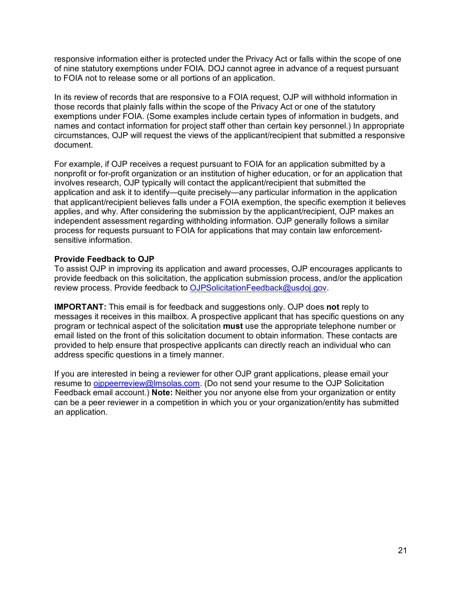responsive information either is protected under the Privacy Act or falls within the scope of one of nine statutory exemptions under FOIA. DOJ cannot agree in advance of a request pursuant to FOIA not to release some or all portions of an application.

In its review of records that are responsive to a FOIA request, OJP will withhold information in those records that plainly falls within the scope of the Privacy Act or one of the statutory exemptions under FOIA. (Some examples include certain types of information in budgets, and names and contact information for project staff other than certain key personnel.) In appropriate circumstances, OJP will request the views of the applicant/recipient that submitted a responsive document.

For example, if OJP receives a request pursuant to FOIA for an application submitted by a nonprofit or for-profit organization or an institution of higher education, or for an application that involves research, OJP typically will contact the applicant/recipient that submitted the application and ask it to identify—quite precisely—any particular information in the application that applicant/recipient believes falls under a FOIA exemption, the specific exemption it believes applies, and why. After considering the submission by the applicant/recipient, OJP makes an independent assessment regarding withholding information. OJP generally follows a similar process for requests pursuant to FOIA for applications that may contain law enforcementsensitive information.

#### <span id="page-20-0"></span>**Provide Feedback to OJP**

To assist OJP in improving its application and award processes, OJP encourages applicants to provide feedback on this solicitation, the application submission process, and/or the application review process. Provide feedback to [OJPSolicitationFeedback@usdoj.gov.](mailto:OJPSolicitationFeedback@usdoj.gov)

**IMPORTANT:** This email is for feedback and suggestions only. OJP does **not** reply to messages it receives in this mailbox. A prospective applicant that has specific questions on any program or technical aspect of the solicitation **must** use the appropriate telephone number or email listed on the front of this solicitation document to obtain information. These contacts are provided to help ensure that prospective applicants can directly reach an individual who can address specific questions in a timely manner.

If you are interested in being a reviewer for other OJP grant applications, please email your resume to [ojppeerreview@lmsolas.com.](mailto:ojppeerreview@lmsolas.com) (Do not send your resume to the OJP Solicitation Feedback email account.) **Note:** Neither you nor anyone else from your organization or entity can be a peer reviewer in a competition in which you or your organization/entity has submitted an application.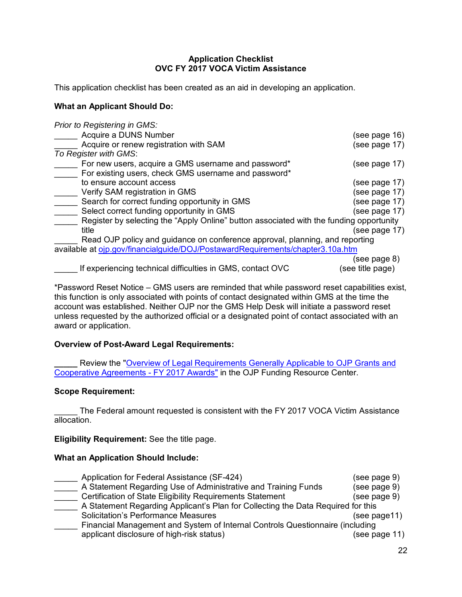#### **Application Checklist OVC FY 2017 VOCA Victim Assistance**

<span id="page-21-0"></span>This application checklist has been created as an aid in developing an application.

#### **What an Applicant Should Do:**

*Prior to Registering in GMS:*

| Acquire a DUNS Number                                                                                                           | (see page 16) |
|---------------------------------------------------------------------------------------------------------------------------------|---------------|
| Acquire or renew registration with SAM                                                                                          | (see page 17) |
| To Register with GMS:                                                                                                           |               |
| For new users, acquire a GMS username and password*                                                                             | (see page 17) |
| For existing users, check GMS username and password*                                                                            |               |
| to ensure account access                                                                                                        | (see page 17) |
| Verify SAM registration in GMS                                                                                                  | (see page 17) |
| Search for correct funding opportunity in GMS                                                                                   | (see page 17) |
| Select correct funding opportunity in GMS                                                                                       | (see page 17) |
| Register by selecting the "Apply Online" button associated with the funding opportunity                                         |               |
| title                                                                                                                           | (see page 17) |
| Read OJP policy and guidance on conference approval, planning, and reporting                                                    |               |
| available at oip.gov/financialguide/DOJ/PostawardRequirements/chapter3.10a.htm                                                  |               |
|                                                                                                                                 | (see page 8)  |
| $\mathbf{R}$ . The state of $\mathbf{R}$ is the state of $\mathbf{R}$ is the state of $\mathbf{R}$ is the state of $\mathbf{R}$ |               |

\_\_\_\_\_ If experiencing technical difficulties in GMS, contact OVC (see title page)

\*Password Reset Notice – GMS users are reminded that while password reset capabilities exist, this function is only associated with points of contact designated within GMS at the time the account was established. Neither OJP nor the GMS Help Desk will initiate a password reset unless requested by the authorized official or a designated point of contact associated with an award or application.

#### **Overview of Post-Award Legal Requirements:**

Review the "Overview of Legal Requirements Generally Applicable to OJP Grants and [Cooperative Agreements - FY 2017 Awards"](http://ojp.gov/funding/Explore/SolicitationRequirements/index.htm) in the OJP Funding Resource Center.

#### **Scope Requirement:**

The Federal amount requested is consistent with the FY 2017 VOCA Victim Assistance allocation.

**Eligibility Requirement:** See the title page.

#### **What an Application Should Include:**

| Application for Federal Assistance (SF-424)                                      | (see page 9)  |  |
|----------------------------------------------------------------------------------|---------------|--|
| A Statement Regarding Use of Administrative and Training Funds                   | (see page 9)  |  |
| Certification of State Eligibility Requirements Statement                        | (see page 9)  |  |
| A Statement Regarding Applicant's Plan for Collecting the Data Required for this |               |  |
| <b>Solicitation's Performance Measures</b>                                       | (see page11)  |  |
| Financial Management and System of Internal Controls Questionnaire (including    |               |  |
| applicant disclosure of high-risk status)                                        | (see page 11) |  |